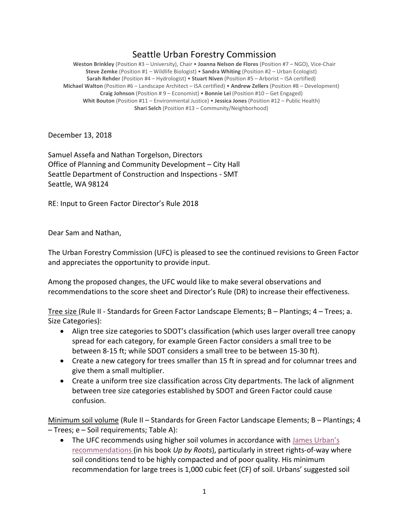## Seattle Urban Forestry Commission

**Weston Brinkley** (Position #3 – University), Chair • **Joanna Nelson de Flores** (Position #7 – NGO), Vice-Chair **Steve Zemke** (Position #1 – Wildlife Biologist) • **Sandra Whiting** (Position #2 – Urban Ecologist) **Sarah Rehder** (Position #4 – Hydrologist) • **Stuart Niven** (Position #5 – Arborist – ISA certified) **Michael Walton** (Position #6 – Landscape Architect – ISA certified) • **Andrew Zellers** (Position #8 – Development) **Craig Johnson** (Position # 9 – Economist) • **Bonnie Lei** (Position #10 – Get Engaged) **Whit Bouton** (Position #11 – Environmental Justice) • **Jessica Jones** (Position #12 – Public Health) **Shari Selch** (Position #13 – Community/Neighborhood)

December 13, 2018

Samuel Assefa and Nathan Torgelson, Directors Office of Planning and Community Development – City Hall Seattle Department of Construction and Inspections - SMT Seattle, WA 98124

RE: Input to Green Factor Director's Rule 2018

Dear Sam and Nathan,

The Urban Forestry Commission (UFC) is pleased to see the continued revisions to Green Factor and appreciates the opportunity to provide input.

Among the proposed changes, the UFC would like to make several observations and recommendations to the score sheet and Director's Rule (DR) to increase their effectiveness.

Tree size (Rule II - Standards for Green Factor Landscape Elements; B – Plantings; 4 – Trees; a. Size Categories):

- Align tree size categories to SDOT's classification (which uses larger overall tree canopy spread for each category, for example Green Factor considers a small tree to be between 8-15 ft; while SDOT considers a small tree to be between 15-30 ft).
- Create a new category for trees smaller than 15 ft in spread and for columnar trees and give them a small multiplier.
- Create a uniform tree size classification across City departments. The lack of alignment between tree size categories established by SDOT and Green Factor could cause confusion.

Minimum soil volume (Rule II - Standards for Green Factor Landscape Elements; B - Plantings; 4 – Trees; e – Soil requirements; Table A):

• The UFC recommends using higher soil volumes in accordance with [James Urban's](http://www.deeproot.com/blog/blog-entries/our-recommended-soil-volume-for-urban-trees) [recommendations](http://www.deeproot.com/blog/blog-entries/our-recommended-soil-volume-for-urban-trees) (in his book *Up by Roots*), particularly in street rights-of-way where soil conditions tend to be highly compacted and of poor quality. His minimum recommendation for large trees is 1,000 cubic feet (CF) of soil. Urbans' suggested soil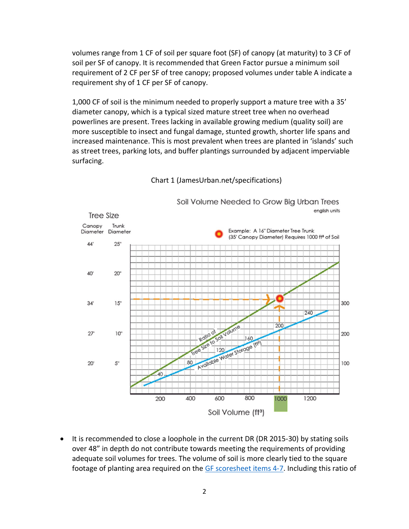volumes range from 1 CF of soil per square foot (SF) of canopy (at maturity) to 3 CF of soil per SF of canopy. It is recommended that Green Factor pursue a minimum soil requirement of 2 CF per SF of tree canopy; proposed volumes under table A indicate a requirement shy of 1 CF per SF of canopy.

1,000 CF of soil is the minimum needed to properly support a mature tree with a 35' diameter canopy, which is a typical sized mature street tree when no overhead powerlines are present. Trees lacking in available growing medium (quality soil) are more susceptible to insect and fungal damage, stunted growth, shorter life spans and increased maintenance. This is most prevalent when trees are planted in 'islands' such as street trees, parking lots, and buffer plantings surrounded by adjacent imperviable surfacing.



## Chart 1 (JamesUrban.net/specifications)

It is recommended to close a loophole in the current DR (DR 2015-30) by stating soils over 48" in depth do not contribute towards meeting the requirements of providing adequate soil volumes for trees. The volume of soil is more clearly tied to the square footage of planting area required on the [GF scoresheet items 4-7.](http://www.seattle.gov/Documents/Departments/UrbanForestryCommission/2018/2018docs/GFrevisedscoresheet2017_09_06.pdf) Including this ratio of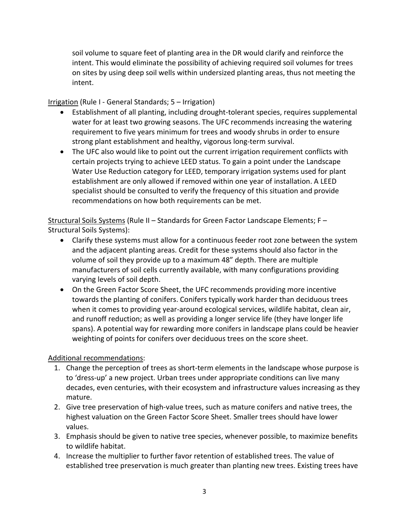soil volume to square feet of planting area in the DR would clarify and reinforce the intent. This would eliminate the possibility of achieving required soil volumes for trees on sites by using deep soil wells within undersized planting areas, thus not meeting the intent.

Irrigation (Rule I - General Standards; 5 – Irrigation)

- Establishment of all planting, including drought-tolerant species, requires supplemental water for at least two growing seasons. The UFC recommends increasing the watering requirement to five years minimum for trees and woody shrubs in order to ensure strong plant establishment and healthy, vigorous long-term survival.
- The UFC also would like to point out the current irrigation requirement conflicts with certain projects trying to achieve LEED status. To gain a point under the Landscape Water Use Reduction category for LEED, temporary irrigation systems used for plant establishment are only allowed if removed within one year of installation. A LEED specialist should be consulted to verify the frequency of this situation and provide recommendations on how both requirements can be met.

Structural Soils Systems (Rule II – Standards for Green Factor Landscape Elements; F – Structural Soils Systems):

- Clarify these systems must allow for a continuous feeder root zone between the system and the adjacent planting areas. Credit for these systems should also factor in the volume of soil they provide up to a maximum 48" depth. There are multiple manufacturers of soil cells currently available, with many configurations providing varying levels of soil depth.
- On the Green Factor Score Sheet, the UFC recommends providing more incentive towards the planting of conifers. Conifers typically work harder than deciduous trees when it comes to providing year-around ecological services, wildlife habitat, clean air, and runoff reduction; as well as providing a longer service life (they have longer life spans). A potential way for rewarding more conifers in landscape plans could be heavier weighting of points for conifers over deciduous trees on the score sheet.

## Additional recommendations:

- 1. Change the perception of trees as short-term elements in the landscape whose purpose is to 'dress-up' a new project. Urban trees under appropriate conditions can live many decades, even centuries, with their ecosystem and infrastructure values increasing as they mature.
- 2. Give tree preservation of high-value trees, such as mature conifers and native trees, the highest valuation on the Green Factor Score Sheet. Smaller trees should have lower values.
- 3. Emphasis should be given to native tree species, whenever possible, to maximize benefits to wildlife habitat.
- 4. Increase the multiplier to further favor retention of established trees. The value of established tree preservation is much greater than planting new trees. Existing trees have